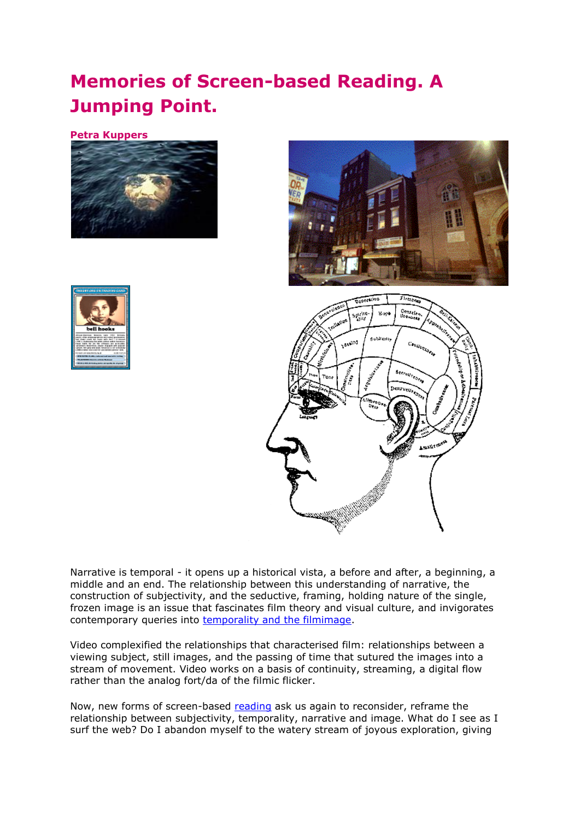## **Memories of Screen-based Reading. A Jumping Point.**

**Petra Kuppers**







Narrative is temporal - it opens up a historical vista, a before and after, a beginning, a middle and an end. The relationship between this understanding of narrative, the construction of subjectivity, and the seductive, framing, holding nature of the single, frozen image is an issue that fascinates film theory and visual culture, and invigorates contemporary queries into [temporality and the filmimage.](http://www.rochester.edu/College/FS/Publications/TimeMachine/ShortHistory.html)

Video complexified the relationships that characterised film: relationships between a viewing subject, still images, and the passing of time that sutured the images into a stream of movement. Video works on a basis of continuity, streaming, a digital flow rather than the analog fort/da of the filmic flicker.

Now, new forms of screen-based [reading](http://www.heelstone.com/meridian) ask us again to reconsider, reframe the relationship between subjectivity, temporality, narrative and image. What do I see as I surf the web? Do I abandon myself to the watery stream of joyous exploration, giving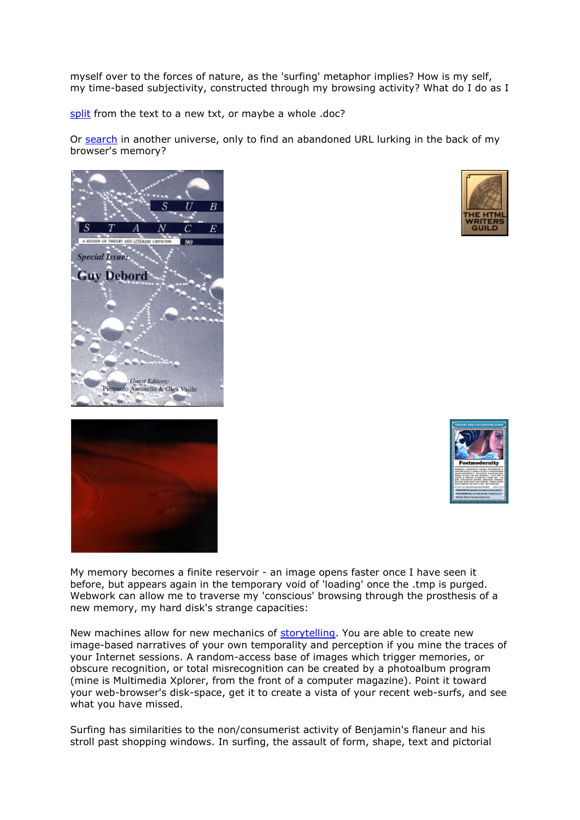myself over to the forces of nature, as the 'surfing' metaphor implies? How is my self, my time-based subjectivity, constructed through my browsing activity? What do I do as I

[split](http://www.brunel.ac.uk/editor/about/acad/sa/artresearch/entertext/issues/entertext1_2/index.htm) from the text to a new txt, or maybe a whole .doc?

Or [search](http://www.altavista.com/) in another universe, only to find an abandoned URL lurking in the back of my browser's memory?









My memory becomes a finite reservoir - an image opens faster once I have seen it before, but appears again in the temporary void of 'loading' once the .tmp is purged. Webwork can allow me to traverse my 'conscious' browsing through the prosthesis of a new memory, my hard disk's strange capacities:

New machines allow for new mechanics of [storytelling.](http://www.hwg.org/) You are able to create new image-based narratives of your own temporality and perception if you mine the traces of your Internet sessions. A random-access base of images which trigger memories, or obscure recognition, or total misrecognition can be created by a photoalbum program (mine is Multimedia Xplorer, from the front of a computer magazine). Point it toward your web-browser's disk-space, get it to create a vista of your recent web-surfs, and see what you have missed.

Surfing has similarities to the non/consumerist activity of Benjamin's flaneur and his stroll past shopping windows. In surfing, the assault of form, shape, text and pictorial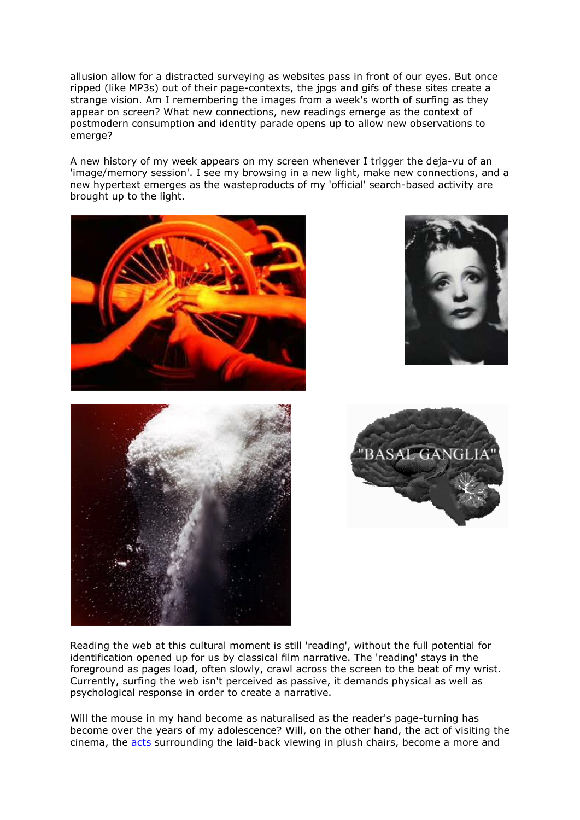allusion allow for a distracted surveying as websites pass in front of our eyes. But once ripped (like MP3s) out of their page-contexts, the jpgs and gifs of these sites create a strange vision. Am I remembering the images from a week's worth of surfing as they appear on screen? What new connections, new readings emerge as the context of postmodern consumption and identity parade opens up to allow new observations to emerge?

A new history of my week appears on my screen whenever I trigger the deja-vu of an 'image/memory session'. I see my browsing in a new light, make new connections, and a new hypertext emerges as the wasteproducts of my 'official' search-based activity are brought up to the light.









Reading the web at this cultural moment is still 'reading', without the full potential for identification opened up for us by classical film narrative. The 'reading' stays in the foreground as pages load, often slowly, crawl across the screen to the beat of my wrist. Currently, surfing the web isn't perceived as passive, it demands physical as well as psychological response in order to create a narrative.

Will the mouse in my hand become as naturalised as the reader's page-turning has become over the years of my adolescence? Will, on the other hand, the act of visiting the cinema, the [acts](http://www.odeon.co.uk/) surrounding the laid-back viewing in plush chairs, become a more and